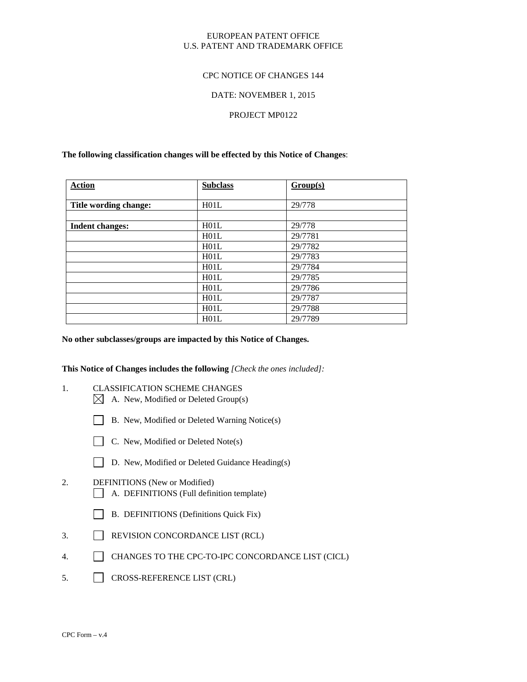# EUROPEAN PATENT OFFICE U.S. PATENT AND TRADEMARK OFFICE

## CPC NOTICE OF CHANGES 144

## DATE: NOVEMBER 1, 2015

## PROJECT MP0122

## **The following classification changes will be effected by this Notice of Changes**:

| <b>Action</b>          | <b>Subclass</b> | Group(s) |
|------------------------|-----------------|----------|
|                        |                 |          |
| Title wording change:  | H01L            | 29/778   |
|                        |                 |          |
| <b>Indent changes:</b> | H01L            | 29/778   |
|                        | H01L            | 29/7781  |
|                        | H01L            | 29/7782  |
|                        | H01L            | 29/7783  |
|                        | H01L            | 29/7784  |
|                        | H01L            | 29/7785  |
|                        | H01L            | 29/7786  |
|                        | H01L            | 29/7787  |
|                        | H01L            | 29/7788  |
|                        | H01L            | 29/7789  |

#### **No other subclasses/groups are impacted by this Notice of Changes.**

#### **This Notice of Changes includes the following** *[Check the ones included]:*

- 1. CLASSIFICATION SCHEME CHANGES
	- $\boxtimes$  A. New, Modified or Deleted Group(s)
	- B. New, Modified or Deleted Warning Notice(s)
	-
	- $\Box$  C. New, Modified or Deleted Note(s)
	- D. New, Modified or Deleted Guidance Heading(s)
- 2. DEFINITIONS (New or Modified) A. DEFINITIONS (Full definition template)
	- B. DEFINITIONS (Definitions Quick Fix)
- 3. REVISION CONCORDANCE LIST (RCL)
- 4. CHANGES TO THE CPC-TO-IPC CONCORDANCE LIST (CICL)
- 5. CROSS-REFERENCE LIST (CRL)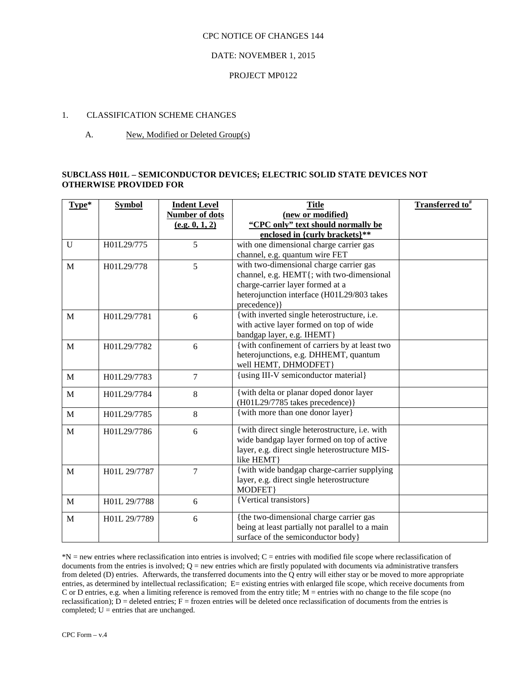## CPC NOTICE OF CHANGES 144

# DATE: NOVEMBER 1, 2015

## PROJECT MP0122

# 1. CLASSIFICATION SCHEME CHANGES

# A. New, Modified or Deleted Group(s)

# **SUBCLASS H01L – SEMICONDUCTOR DEVICES; ELECTRIC SOLID STATE DEVICES NOT OTHERWISE PROVIDED FOR**

| Type*        | <b>Symbol</b> | <b>Indent Level</b>   | <b>Title</b>                                    | Transferred to <sup>#</sup> |
|--------------|---------------|-----------------------|-------------------------------------------------|-----------------------------|
|              |               | <b>Number of dots</b> | (new or modified)                               |                             |
|              |               | (e.g. 0, 1, 2)        | "CPC only" text should normally be              |                             |
|              |               |                       | enclosed in {curly brackets}**                  |                             |
| $\mathbf{U}$ | H01L29/775    | 5                     | with one dimensional charge carrier gas         |                             |
|              |               |                       | channel, e.g. quantum wire FET                  |                             |
| $\mathbf{M}$ | H01L29/778    | 5                     | with two-dimensional charge carrier gas         |                             |
|              |               |                       | channel, e.g. HEMT{; with two-dimensional       |                             |
|              |               |                       | charge-carrier layer formed at a                |                             |
|              |               |                       | heterojunction interface (H01L29/803 takes      |                             |
|              |               |                       | precedence) }                                   |                             |
| $\mathbf{M}$ | H01L29/7781   | 6                     | {with inverted single heterostructure, i.e.     |                             |
|              |               |                       | with active layer formed on top of wide         |                             |
|              |               |                       | bandgap layer, e.g. IHEMT}                      |                             |
| M            | H01L29/7782   | 6                     | {with confinement of carriers by at least two   |                             |
|              |               |                       | heterojunctions, e.g. DHHEMT, quantum           |                             |
|              |               |                       | well HEMT, DHMODFET}                            |                             |
| $\mathbf{M}$ | H01L29/7783   | $\overline{7}$        | {using III-V semiconductor material}            |                             |
| $\mathbf{M}$ | H01L29/7784   | 8                     | { with delta or planar doped donor layer        |                             |
|              |               |                       | (H01L29/7785 takes precedence)}                 |                             |
| $\mathbf{M}$ | H01L29/7785   | 8                     | {with more than one donor layer}                |                             |
| $\mathbf{M}$ | H01L29/7786   | 6                     | {with direct single heterostructure, i.e. with  |                             |
|              |               |                       | wide bandgap layer formed on top of active      |                             |
|              |               |                       | layer, e.g. direct single heterostructure MIS-  |                             |
|              |               |                       | like HEMT}                                      |                             |
| $\mathbf{M}$ | H01L 29/7787  | 7                     | {with wide bandgap charge-carrier supplying     |                             |
|              |               |                       | layer, e.g. direct single heterostructure       |                             |
|              |               |                       | MODFET}                                         |                             |
| $\mathbf{M}$ | H01L 29/7788  | 6                     | {Vertical transistors}                          |                             |
|              |               |                       | {the two-dimensional charge carrier gas         |                             |
| ${\bf M}$    | H01L 29/7789  | 6                     | being at least partially not parallel to a main |                             |
|              |               |                       | surface of the semiconductor body}              |                             |
|              |               |                       |                                                 |                             |

\*N = new entries where reclassification into entries is involved; C = entries with modified file scope where reclassification of documents from the entries is involved;  $Q =$  new entries which are firstly populated with documents via administrative transfers from deleted (D) entries. Afterwards, the transferred documents into the  $\hat{Q}$  entry will either stay or be moved to more appropriate entries, as determined by intellectual reclassification; E= existing entries with enlarged file scope, which receive documents from C or D entries, e.g. when a limiting reference is removed from the entry title;  $M =$  entries with no change to the file scope (no reclassification);  $\overline{D}$  = deleted entries; F = frozen entries will be deleted once reclassification of documents from the entries is completed;  $U =$  entries that are unchanged.